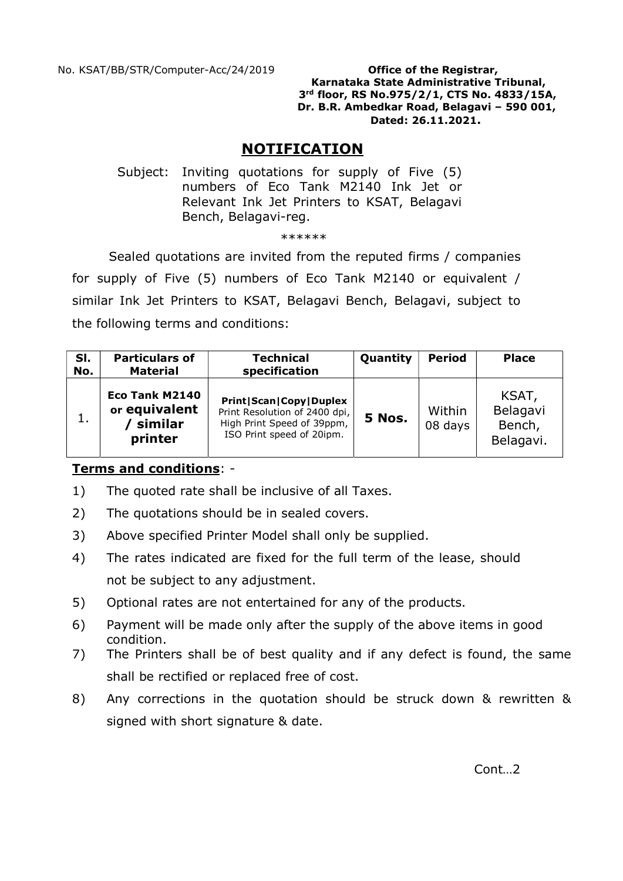Karnataka State Administrative Tribunal, 3rd floor, RS No.975/2/1, CTS No. 4833/15A, Dr. B.R. Ambedkar Road, Belagavi – 590 001, Dated: 26.11.2021.

# NOTIFICATION

 Subject: Inviting quotations for supply of Five (5) numbers of Eco Tank M2140 Ink Jet or Relevant Ink Jet Printers to KSAT, Belagavi Bench, Belagavi-reg.

#### \*\*\*\*\*\*

Sealed quotations are invited from the reputed firms / companies for supply of Five (5) numbers of Eco Tank M2140 or equivalent / similar Ink Jet Printers to KSAT, Belagavi Bench, Belagavi, subject to the following terms and conditions:

| SI.<br>No. | <b>Particulars of</b><br><b>Material</b>              | <b>Technical</b><br>specification                                                                                               | Quantity | <b>Period</b>     | <b>Place</b>                             |
|------------|-------------------------------------------------------|---------------------------------------------------------------------------------------------------------------------------------|----------|-------------------|------------------------------------------|
|            | Eco Tank M2140<br>or equivalent<br>similar<br>printer | <b>Print   Scan   Copy   Duplex</b><br>Print Resolution of 2400 dpi,<br>High Print Speed of 39ppm,<br>ISO Print speed of 20ipm. | 5 Nos.   | Within<br>08 days | KSAT,<br>Belagavi<br>Bench,<br>Belagavi. |

# Terms and conditions: -

- 1) The quoted rate shall be inclusive of all Taxes.
- 2) The quotations should be in sealed covers.
- 3) Above specified Printer Model shall only be supplied.
- 4) The rates indicated are fixed for the full term of the lease, should not be subject to any adjustment.
- 5) Optional rates are not entertained for any of the products.
- 6) Payment will be made only after the supply of the above items in good condition.
- 7) The Printers shall be of best quality and if any defect is found, the same shall be rectified or replaced free of cost.
- 8) Any corrections in the quotation should be struck down & rewritten & signed with short signature & date.